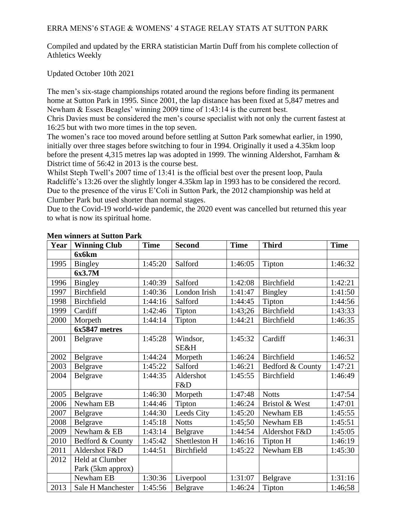# ERRA MENS'6 STAGE & WOMENS' 4 STAGE RELAY STATS AT SUTTON PARK

Compiled and updated by the ERRA statistician Martin Duff from his complete collection of Athletics Weekly

Updated October 10th 2021

The men's six-stage championships rotated around the regions before finding its permanent home at Sutton Park in 1995. Since 2001, the lap distance has been fixed at 5,847 metres and Newham & Essex Beagles' winning 2009 time of 1:43:14 is the current best.

Chris Davies must be considered the men's course specialist with not only the current fastest at 16:25 but with two more times in the top seven.

The women's race too moved around before settling at Sutton Park somewhat earlier, in 1990, initially over three stages before switching to four in 1994. Originally it used a 4.35km loop before the present 4,315 metres lap was adopted in 1999. The winning Aldershot, Farnham & District time of 56:42 in 2013 is the course best.

Whilst Steph Twell's 2007 time of 13:41 is the official best over the present loop, Paula Radcliffe's 13:26 over the slightly longer 4.35km lap in 1993 has to be considered the record. Due to the presence of the virus E'Coli in Sutton Park, the 2012 championship was held at Clumber Park but used shorter than normal stages.

Due to the Covid-19 world-wide pandemic, the 2020 event was cancelled but returned this year to what is now its spiritual home.

| Year | <b>Winning Club</b> | <b>Time</b> | <b>Second</b> | <b>Time</b> | <b>Third</b>      | <b>Time</b> |
|------|---------------------|-------------|---------------|-------------|-------------------|-------------|
|      | 6x6km               |             |               |             |                   |             |
| 1995 | Bingley             | 1:45:20     | Salford       | 1:46:05     | Tipton            | 1:46:32     |
|      | 6x3.7M              |             |               |             |                   |             |
| 1996 | <b>Bingley</b>      | 1:40:39     | Salford       | 1:42:08     | Birchfield        | 1:42:21     |
| 1997 | Birchfield          | 1:40:36     | London Irish  | 1:41:47     | <b>Bingley</b>    | 1:41:50     |
| 1998 | Birchfield          | 1:44:16     | Salford       | 1:44:45     | Tipton            | 1:44:56     |
| 1999 | Cardiff             | 1:42:46     | Tipton        | 1:43;26     | Birchfield        | 1:43:33     |
| 2000 | Morpeth             | 1:44:14     | Tipton        | 1:44:21     | Birchfield        | 1:46:35     |
|      | 6x5847 metres       |             |               |             |                   |             |
| 2001 | Belgrave            | 1:45:28     | Windsor,      | 1:45:32     | Cardiff           | 1:46:31     |
|      |                     |             | SE&H          |             |                   |             |
| 2002 | Belgrave            | 1:44:24     | Morpeth       | 1:46:24     | Birchfield        | 1:46:52     |
| 2003 | Belgrave            | 1:45:22     | Salford       | 1:46:21     | Bedford & County  | 1:47:21     |
| 2004 | Belgrave            | 1:44:35     | Aldershot     | 1:45:55     | <b>Birchfield</b> | 1:46:49     |
|      |                     |             | F&D           |             |                   |             |
| 2005 | Belgrave            | 1:46:30     | Morpeth       | 1:47:48     | <b>Notts</b>      | 1:47:54     |
| 2006 | Newham EB           | 1:44:46     | Tipton        | 1:46:24     | Bristol & West    | 1:47:01     |
| 2007 | Belgrave            | 1:44:30     | Leeds City    | 1:45:20     | Newham EB         | 1:45:55     |
| 2008 | Belgrave            | 1:45:18     | <b>Notts</b>  | 1:45;50     | Newham EB         | 1:45:51     |
| 2009 | Newham & EB         | 1:43:14     | Belgrave      | 1:44:54     | Aldershot F&D     | 1:45:05     |
| 2010 | Bedford & County    | 1:45:42     | Shettleston H | 1:46:16     | Tipton H          | 1:46:19     |
| 2011 | Aldershot F&D       | 1:44:51     | Birchfield    | 1:45:22     | Newham EB         | 1:45:30     |
| 2012 | Held at Clumber     |             |               |             |                   |             |
|      | Park (5km approx)   |             |               |             |                   |             |
|      | Newham EB           | 1:30:36     | Liverpool     | 1:31:07     | Belgrave          | 1:31:16     |
| 2013 | Sale H Manchester   | 1:45:56     | Belgrave      | 1:46:24     | Tipton            | 1:46;58     |

### **Men winners at Sutton Park**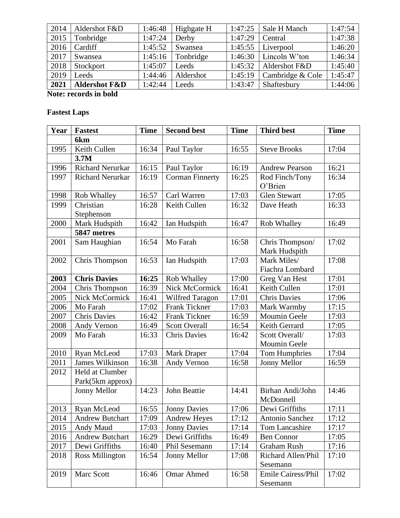| 2014 | Aldershot F&D            | 1:46:48 | Highgate H | 1:47:25 | Sale H Manch     | 1:47:54 |
|------|--------------------------|---------|------------|---------|------------------|---------|
| 2015 | Tonbridge                | 1:47:24 | Derby      | 1:47:29 | Central          | 1:47:38 |
| 2016 | Cardiff                  | 1:45:52 | Swansea    | 1:45:55 | Liverpool        | 1:46:20 |
| 2017 | Swansea                  | 1:45:16 | Tonbridge  | 1:46:30 | Lincoln W'ton    | 1:46:34 |
| 2018 | Stockport                | 1:45:07 | Leeds      | 1:45:32 | Aldershot F&D    | 1:45:40 |
| 2019 | Leeds                    | 1:44:46 | Aldershot  | 1:45:19 | Cambridge & Cole | 1:45:47 |
| 2021 | <b>Aldershot F&amp;D</b> | 1:42:44 | Leeds      | 1:43:47 | Shaftesbury      | 1:44:06 |

**Note: records in bold**

# **Fastest Laps**

| Year | <b>Fastest</b>                      | <b>Time</b> | <b>Second best</b>     | <b>Time</b> | <b>Third best</b>                | <b>Time</b> |
|------|-------------------------------------|-------------|------------------------|-------------|----------------------------------|-------------|
|      | 6 <sub>km</sub>                     |             |                        |             |                                  |             |
| 1995 | Keith Cullen                        | 16:34       | Paul Taylor            | 16:55       | <b>Steve Brooks</b>              | 17:04       |
|      | 3.7M                                |             |                        |             |                                  |             |
| 1996 | Richard Nerurkar                    | 16:15       | Paul Taylor            | 16:19       | <b>Andrew Pearson</b>            | 16:21       |
| 1997 | <b>Richard Nerurkar</b>             | 16:19       | <b>Corman Finnerty</b> | 16:25       | Rod Finch/Tony<br>O'Brien        | 16:34       |
| 1998 | Rob Whalley                         | 16:57       | Carl Warren            | 17:03       | <b>Glen Stewart</b>              | 17:05       |
| 1999 | Christian                           | 16:28       | Keith Cullen           | 16:32       | Dave Heath                       | 16:33       |
|      | Stephenson                          |             |                        |             |                                  |             |
| 2000 | Mark Hudspith                       | 16:42       | Ian Hudspith           | 16:47       | Rob Whalley                      | 16:49       |
|      | 5847 metres                         |             |                        |             |                                  |             |
| 2001 | Sam Haughian                        | 16:54       | Mo Farah               | 16:58       | Chris Thompson/<br>Mark Hudspith | 17:02       |
| 2002 | Chris Thompson                      | 16:53       | Ian Hudspith           | 17:03       | Mark Miles/<br>Fiachra Lombard   | 17:08       |
| 2003 | <b>Chris Davies</b>                 | 16:25       | Rob Whalley            | 17:00       | Greg Van Hest                    | 17:01       |
| 2004 | Chris Thompson                      | 16:39       | Nick McCormick         | 16:41       | Keith Cullen                     | 17:01       |
| 2005 | Nick McCormick                      | 16:41       | <b>Wilfred Taragon</b> | 17:01       | <b>Chris Davies</b>              | 17:06       |
| 2006 | Mo Farah                            | 17:02       | <b>Frank Tickner</b>   | 17:03       | Mark Warmby                      | 17:15       |
| 2007 | <b>Chris Davies</b>                 | 16:42       | <b>Frank Tickner</b>   | 16:59       | Moumin Geele                     | 17:03       |
| 2008 | Andy Vernon                         | 16:49       | <b>Scott Overall</b>   | 16:54       | Keith Gerrard                    | 17:05       |
| 2009 | Mo Farah                            | 16:33       | <b>Chris Davies</b>    | 16:42       | Scott Overall/                   | 17:03       |
|      |                                     |             |                        |             | Moumin Geele                     |             |
| 2010 | Ryan McLeod                         | 17:03       | <b>Mark Draper</b>     | 17:04       | <b>Tom Humphries</b>             | 17:04       |
| 2011 | James Wilkinson                     | 16:38       | Andy Vernon            | 16:58       | Jonny Mellor                     | 16:59       |
| 2012 | Held at Clumber<br>Park(5km approx) |             |                        |             |                                  |             |
|      | Jonny Mellor                        | 14:23       | John Beattie           | 14:41       | Birhan Andi/John<br>McDonnell    | 14:46       |
| 2013 | Ryan McLeod                         | 16:55       | <b>Jonny Davies</b>    | 17:06       | Dewi Griffiths                   | 17:11       |
| 2014 | <b>Andrew Butchart</b>              | 17:09       | <b>Andrew Heyes</b>    | 17:12       | Antonio Sanchez                  | 17:12       |
| 2015 | Andy Maud                           | 17:03       | <b>Jonny Davies</b>    | 17:14       | Tom Lancashire                   | 17:17       |
| 2016 | <b>Andrew Butchart</b>              | 16:29       | Dewi Griffiths         | 16:49       | <b>Ben Connor</b>                | 17:05       |
| 2017 | Dewi Griffiths                      | 16:40       | Phil Sesemann          | 17:14       | <b>Graham Rush</b>               | 17:16       |
| 2018 | <b>Ross Millington</b>              | 16:54       | Jonny Mellor           | 17:08       | Richard Allen/Phil<br>Sesemann   | 17:10       |
| 2019 | Marc Scott                          | 16:46       | <b>Omar Ahmed</b>      | 16:58       | Emile Cairess/Phil<br>Sesemann   | 17:02       |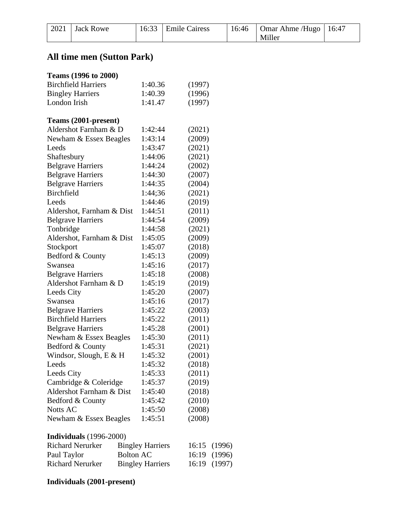| $2021$ Jack Rowe | 16:33 Emile Cairess | 16:46 | $\vert$ Omar Ahme /Hugo $\vert$ 16:47 |  |
|------------------|---------------------|-------|---------------------------------------|--|
|                  |                     |       | Miller                                |  |

# **All time men (Sutton Park)**

| Teams (1996 to 2000)           |                         |                         |        |        |        |
|--------------------------------|-------------------------|-------------------------|--------|--------|--------|
| <b>Birchfield Harriers</b>     | 1:40.36                 | (1997)                  |        |        |        |
| <b>Bingley Harriers</b>        |                         | 1:40.39                 | (1996) |        |        |
| London Irish                   |                         | 1:41.47                 | (1997) |        |        |
| Teams (2001-present)           |                         |                         |        |        |        |
| Aldershot Farnham & D          |                         | 1:42:44                 | (2021) |        |        |
| Newham & Essex Beagles         |                         | 1:43:14                 | (2009) |        |        |
| Leeds                          |                         | 1:43:47                 | (2021) |        |        |
| Shaftesbury                    |                         | 1:44:06                 | (2021) |        |        |
| <b>Belgrave Harriers</b>       |                         | 1:44:24                 | (2002) |        |        |
| <b>Belgrave Harriers</b>       |                         | 1:44:30                 | (2007) |        |        |
| <b>Belgrave Harriers</b>       |                         | 1:44:35                 | (2004) |        |        |
| <b>Birchfield</b>              |                         | 1:44;36                 | (2021) |        |        |
| Leeds                          |                         | 1:44:46                 | (2019) |        |        |
| Aldershot, Farnham & Dist      |                         | 1:44:51                 | (2011) |        |        |
| <b>Belgrave Harriers</b>       |                         | 1:44:54                 | (2009) |        |        |
| Tonbridge                      |                         | 1:44:58                 |        | (2021) |        |
| Aldershot, Farnham & Dist      |                         | 1:45:05                 | (2009) |        |        |
| Stockport                      |                         | 1:45:07                 | (2018) |        |        |
| Bedford & County               |                         | 1:45:13                 | (2009) |        |        |
| Swansea                        |                         | 1:45:16                 | (2017) |        |        |
| <b>Belgrave Harriers</b>       |                         | 1:45:18                 | (2008) |        |        |
| Aldershot Farnham & D          |                         | 1:45:19                 | (2019) |        |        |
| Leeds City                     |                         | 1:45:20                 | (2007) |        |        |
| Swansea                        |                         | 1:45:16                 | (2017) |        |        |
| <b>Belgrave Harriers</b>       |                         | 1:45:22                 | (2003) |        |        |
| <b>Birchfield Harriers</b>     |                         | 1:45:22                 | (2011) |        |        |
| <b>Belgrave Harriers</b>       |                         | 1:45:28                 | (2001) |        |        |
| Newham & Essex Beagles         |                         | 1:45:30                 | (2011) |        |        |
| Bedford & County               |                         | 1:45:31                 | (2021) |        |        |
| Windsor, Slough, E & H         |                         | 1:45:32                 | (2001) |        |        |
| Leeds                          |                         | 1:45:32                 | (2018) |        |        |
| Leeds City                     |                         | 1:45:33                 | (2011) |        |        |
| Cambridge & Coleridge          |                         | 1:45:37                 |        | (2019) |        |
| Aldershot Farnham & Dist       |                         | 1:45:40                 |        | (2018) |        |
| Bedford & County               |                         | 1:45:42                 |        | (2010) |        |
| Notts AC                       |                         | 1:45:50                 | (2008) |        |        |
| Newham & Essex Beagles         |                         | 1:45:51                 | (2008) |        |        |
| <b>Individuals</b> (1996-2000) |                         |                         |        |        |        |
| <b>Richard Nerurker</b>        |                         | <b>Bingley Harriers</b> | 16:15  |        | (1996) |
| Paul Taylor                    | <b>Bolton AC</b>        |                         | 16:19  |        | (1996) |
| <b>Richard Nerurker</b>        | <b>Bingley Harriers</b> |                         | 16:19  | (1997) |        |

Bingley Harriers 16:19 (1997)

**Individuals (2001-present)**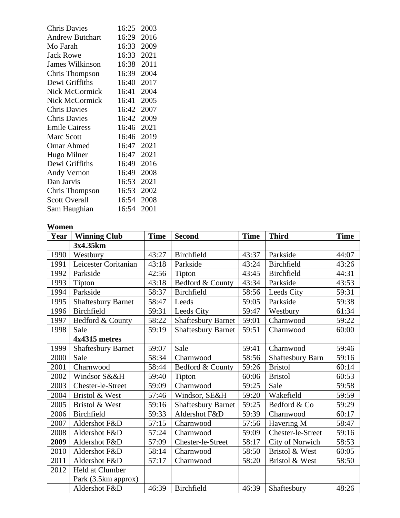| <b>Chris Davies</b>    | 16:25 | 2003 |
|------------------------|-------|------|
| <b>Andrew Butchart</b> | 16:29 | 2016 |
| Mo Farah               | 16:33 | 2009 |
| <b>Jack Rowe</b>       | 16:33 | 2021 |
| <b>James Wilkinson</b> | 16:38 | 2011 |
| Chris Thompson         | 16:39 | 2004 |
| Dewi Griffiths         | 16:40 | 2017 |
| <b>Nick McCormick</b>  | 16:41 | 2004 |
| <b>Nick McCormick</b>  | 16:41 | 2005 |
| <b>Chris Davies</b>    | 16:42 | 2007 |
| <b>Chris Davies</b>    | 16:42 | 2009 |
| <b>Emile Cairess</b>   | 16:46 | 2021 |
| <b>Marc Scott</b>      | 16:46 | 2019 |
| <b>Omar Ahmed</b>      | 16:47 | 2021 |
| Hugo Milner            | 16:47 | 2021 |
| Dewi Griffiths         | 16:49 | 2016 |
| Andy Vernon            | 16:49 | 2008 |
| Dan Jarvis             | 16:53 | 2021 |
| Chris Thompson         | 16:53 | 2002 |
| <b>Scott Overall</b>   | 16:54 | 2008 |
| Sam Haughian           | 16:54 | 2001 |

#### **Women**

| Year | <b>Winning Club</b>       | <b>Time</b> | <b>Second</b>             | <b>Time</b> | <b>Third</b>            | <b>Time</b> |
|------|---------------------------|-------------|---------------------------|-------------|-------------------------|-------------|
|      | 3x4.35km                  |             |                           |             |                         |             |
| 1990 | Westbury                  | 43:27       | Birchfield                | 43:37       | Parkside                | 44:07       |
| 1991 | Leicester Coritanian      | 43:18       | Parkside                  | 43:24       | <b>Birchfield</b>       | 43:26       |
| 1992 | Parkside                  | 42:56       | Tipton                    | 43:45       | Birchfield              | 44:31       |
| 1993 | Tipton                    | 43:18       | Bedford & County          | 43:34       | Parkside                | 43:53       |
| 1994 | Parkside                  | 58:37       | Birchfield                | 58:56       | Leeds City              | 59:31       |
| 1995 | <b>Shaftesbury Barnet</b> | 58:47       | Leeds                     | 59:05       | Parkside                | 59:38       |
| 1996 | Birchfield                | 59:31       | Leeds City                | 59:47       | Westbury                | 61:34       |
| 1997 | Bedford & County          | 58:22       | Shaftesbury Barnet        | 59:01       | Charnwood               | 59:22       |
| 1998 | Sale                      | 59:19       | <b>Shaftesbury Barnet</b> | 59:51       | Charnwood               | 60:00       |
|      | 4x4315 metres             |             |                           |             |                         |             |
| 1999 | <b>Shaftesbury Barnet</b> | 59:07       | Sale                      | 59:41       | Charnwood               | 59:46       |
| 2000 | Sale                      | 58:34       | Charnwood                 | 58:56       | <b>Shaftesbury Barn</b> | 59:16       |
| 2001 | Charnwood                 | 58:44       | Bedford & County          | 59:26       | <b>Bristol</b>          | 60:14       |
| 2002 | Windsor S&&H              | 59:40       | Tipton                    | 60:06       | <b>Bristol</b>          | 60:53       |
| 2003 | Chester-le-Street         | 59:09       | Charnwood                 | 59:25       | Sale                    | 59:58       |
| 2004 | Bristol & West            | 57:46       | Windsor, SE&H             | 59:20       | Wakefield               | 59:59       |
| 2005 | Bristol & West            | 59:16       | <b>Shaftesbury Barnet</b> | 59:25       | Bedford & Co            | 59:29       |
| 2006 | Birchfield                | 59:33       | Aldershot F&D             | 59:39       | Charnwood               | 60:17       |
| 2007 | Aldershot F&D             | 57:15       | Charnwood                 | 57:56       | Havering M              | 58:47       |
| 2008 | Aldershot F&D             | 57:24       | Charnwood                 | 59:09       | Chester-le-Street       | 59:16       |
| 2009 | Aldershot F&D             | 57:09       | Chester-le-Street         | 58:17       | City of Norwich         | 58:53       |
| 2010 | Aldershot F&D             | 58:14       | Charnwood                 | 58:50       | Bristol & West          | 60:05       |
| 2011 | Aldershot F&D             | 57:17       | Charnwood                 | 58:20       | Bristol & West          | 58:50       |
| 2012 | Held at Clumber           |             |                           |             |                         |             |
|      | Park (3.5km approx)       |             |                           |             |                         |             |
|      | Aldershot F&D             | 46:39       | Birchfield                | 46:39       | Shaftesbury             | 48:26       |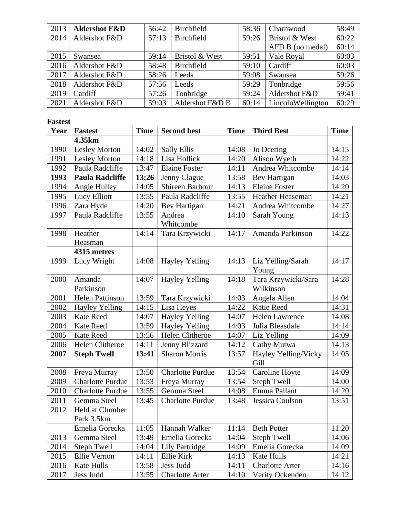| 2013 | <b>Aldershot F&amp;D</b> | 56:42 | Birchfield      | 58:36 | Charnwood         | 58:49 |
|------|--------------------------|-------|-----------------|-------|-------------------|-------|
| 2014 | Aldershot F&D            | 57:13 | Birchfield      | 59:26 | Bristol & West    | 60:22 |
|      |                          |       |                 |       | AFD B (no medal)  | 60:14 |
| 2015 | Swansea                  | 59:14 | Bristol & West  | 59:51 | Vale Royal        | 60:03 |
| 2016 | Aldershot F&D            | 58:48 | Birchfield      | 59:10 | Cardiff           | 60:03 |
| 2017 | Aldershot F&D            | 58:26 | Leeds           | 59:08 | Swansea           | 59:26 |
| 2018 | Aldershot F&D            | 57:56 | Leeds           | 59:29 | Tonbridge         | 59:56 |
| 2019 | Cardiff                  | 57:26 | Tonbridge       | 59:24 | Aldershot F&D     | 59:41 |
| 2021 | Aldershot F&D            | 59:03 | Aldershot F&D B | 60:14 | LincolnWellington | 60:29 |

# **Fastest**

| Year | <b>Fastest</b>          | <b>Time</b> | <b>Second best</b>      | <b>Time</b> | <b>Third Best</b>            | <b>Time</b> |
|------|-------------------------|-------------|-------------------------|-------------|------------------------------|-------------|
|      | 4.35km                  |             |                         |             |                              |             |
| 1990 | <b>Lesley Morton</b>    | 14:02       | <b>Sally Ellis</b>      | 14:08       | Jo Deering                   | 14:15       |
| 1991 | <b>Lesley Morton</b>    | 14:18       | Lisa Hollick            | 14:20       | Alison Wyeth                 | 14:22       |
| 1992 | Paula Radcliffe         | 13:47       | <b>Elaine Foster</b>    | 14:11       | Andrea Whitcombe             | 14:14       |
| 1993 | <b>Paula Radcliffe</b>  | 13:26       | Jenny Clague            | 13:58       | Bev Hartigan                 | 14:03       |
| 1994 | Angie Hulley            | 14:05       | Shireen Barbour         | 14:13       | <b>Elaine Foster</b>         | 14:20       |
| 1995 | Lucy Elliott            | 13:55       | Paula Radcliffe         | 13:55       | Heather Heaseman             | 14:21       |
| 1996 | Zara Hyde               | 14:20       | Bev Hartigan            | 14:21       | Andrea Whitcombe             | 14:27       |
| 1997 | Paula Radcliffe         | 13:55       | Andrea<br>Whitcombe     | 14:10       | Sarah Young                  | 14:13       |
| 1998 | Heather                 | 14:14       | Tara Krzywicki          | 14:17       | Amanda Parkinson             | 14:22       |
|      | Heasman                 |             |                         |             |                              |             |
|      | 4315 metres             |             |                         |             |                              |             |
| 1999 | Lucy Wright             | 14:08       | <b>Hayley Yelling</b>   | 14:13       | Liz Yelling/Sarah<br>Young   | 14:17       |
| 2000 | Amanda                  | 14:07       | <b>Hayley Yelling</b>   | 14:18       | Tara Krzywicki/Sara          | 14:28       |
|      | Parkinson               |             |                         |             | Wilkinson                    |             |
| 2001 | <b>Helen Pattinson</b>  | 13:59       | Tara Krzywicki          | 14:03       | Angela Allen                 | 14:04       |
| 2002 | <b>Hayley Yelling</b>   | 14:15       | Lisa Heyes              | 14:22       | <b>Katie Reed</b>            | 14:31       |
| 2003 | <b>Kate Reed</b>        | 14:07       | <b>Hayley Yelling</b>   | 14:07       | Helen Lawrence               | 14:08       |
| 2004 | <b>Kate Reed</b>        | 13:59       | <b>Hayley Yelling</b>   | 14:03       | Julia Bleasdale              | 14:14       |
| 2005 | <b>Kate Reed</b>        | 13:56       | Helen Clitheroe         | 14:07       | Liz Yelling                  | 14:09       |
| 2006 | Helen Clitheroe         | 14:11       | Jenny Blizzard          | 14:12       | Cathy Mutwa                  | 14:13       |
| 2007 | <b>Steph Twell</b>      | 13:41       | <b>Sharon Morris</b>    | 13:57       | Hayley Yelling/Vicky<br>Gill | 14:05       |
| 2008 | Freya Murray            | 13:50       | <b>Charlotte Purdue</b> | 13:54       | Caroline Hoyte               | 14:09       |
| 2009 | <b>Charlotte Purdue</b> | 13:53       | Freya Murray            | 13:54       | <b>Steph Twell</b>           | 14:00       |
| 2010 | <b>Charlotte Purdue</b> | 13:55       | Gemma Steel             | 14:08       | Emma Pallant                 | 14:20       |
| 2011 | Gemma Steel             | 13:45       | <b>Charlotte Purdue</b> | 13:48       | Jessica Coulson              | 13:51       |
| 2012 | Held at Clumber         |             |                         |             |                              |             |
|      | Park 3.5km              |             |                         |             |                              |             |
|      | Emelia Gorecka          | 11:05       | Hannah Walker           | 11:14       | <b>Beth Potter</b>           | 11:20       |
| 2013 | Gemma Steel             | 13:49       | Emelia Gorecka          | 14:04       | <b>Steph Twell</b>           | 14:06       |
| 2014 | <b>Steph Twell</b>      | 14:04       | <b>Lily Partridge</b>   | 14:09       | Emelia Gorecka               | 14:09       |
| 2015 | Ellie Vernon            | 14:11       | Ellie Kirk              | 14:13       | Kate Hulls                   | 14:21       |
| 2016 | Kate Hulls              | 13:58       | Jess Judd               | 14:11       | <b>Charlotte Arter</b>       | 14:16       |
| 2017 | Jess Judd               | 13:55       | <b>Charlotte Arter</b>  | 14:10       | Verity Ockenden              | 14:12       |